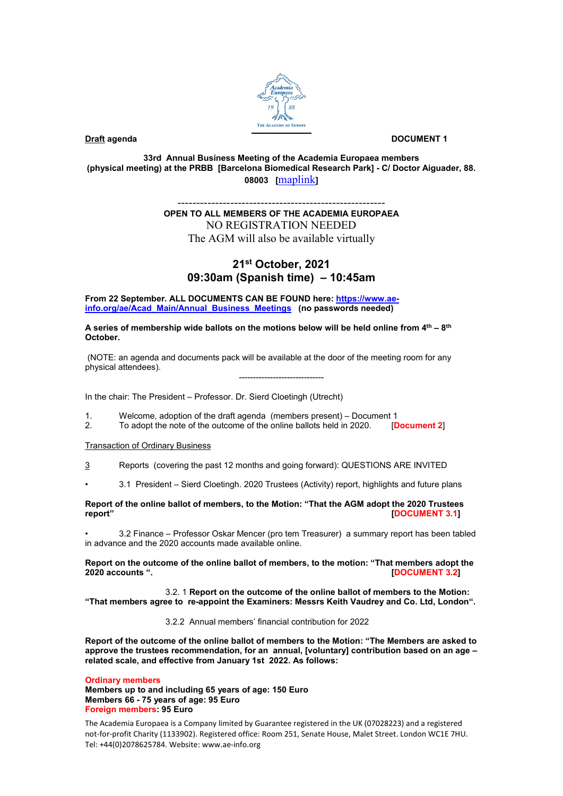

### **Draft** agenda **DOCUMENT 1**

**33rd Annual Business Meeting of the Academia Europaea members (physical meeting) at the PRBB [Barcelona Biomedical Research Park] - C/ Doctor Aiguader, 88. 08003 [**[maplink](https://www.google.com/maps/place/PRBB+Parc+de+Recerca+Biom%C3%A8dica+de+Barcelona/@41.3854203,2.1944581,15z/data=!4m5!3m4!1s0x0:0x81e449abea5aae0e!8m2!3d41.3854203!4d2.1944581)**]**

## ------------------------------------------------------- **OPEN TO ALL MEMBERS OF THE ACADEMIA EUROPAEA** NO REGISTRATION NEEDED The AGM will also be available virtually

# **21st October, 2021 09:30am (Spanish time) – 10:45am**

**From 22 September. ALL DOCUMENTS CAN BE FOUND here[: https://www.ae](https://www.ae-info.org/ae/Acad_Main/Annual_Business_Meetings)[info.org/ae/Acad\\_Main/Annual\\_Business\\_Meetings](https://www.ae-info.org/ae/Acad_Main/Annual_Business_Meetings) (no passwords needed)**

**A series of membership wide ballots on the motions below will be held online from 4th – 8th October.**

(NOTE: an agenda and documents pack will be available at the door of the meeting room for any physical attendees).

------------------------------

In the chair: The President – Professor. Dr. Sierd Cloetingh (Utrecht)

1. Welcome, adoption of the draft agenda (members present) – Document 1<br>2. To adopt the note of the outcome of the online ballots held in 2020. [Document 2] To adopt the note of the outcome of the online ballots held in 2020.

Transaction of Ordinary Business

- 3 Reports (covering the past 12 months and going forward): QUESTIONS ARE INVITED
- 3.1 President Sierd Cloetingh. 2020 Trustees (Activity) report, highlights and future plans

### **Report of the online ballot of members, to the Motion: "That the AGM adopt the 2020 Trustees [DOCUMENT 3.1]**

• 3.2 Finance – Professor Oskar Mencer (pro tem Treasurer) a summary report has been tabled in advance and the 2020 accounts made available online.

Report on the outcome of the online ballot of members, to the motion: "That members adopt the **2020** accounts ". **2020 accounts ". [DOCUMENT 3.2]**

3.2. 1 **Report on the outcome of the online ballot of members to the Motion: "That members agree to re-appoint the Examiners: Messrs Keith Vaudrey and Co. Ltd, London".**

3.2.2 Annual members' financial contribution for 2022

**Report of the outcome of the online ballot of members to the Motion: "The Members are asked to approve the trustees recommendation, for an annual, [voluntary] contribution based on an age – related scale, and effective from January 1st 2022. As follows:** 

**Ordinary members Members up to and including 65 years of age: 150 Euro Members 66 - 75 years of age: 95 Euro Foreign members: 95 Euro**

The Academia Europaea is a Company limited by Guarantee registered in the UK (07028223) and a registered not-for-profit Charity (1133902). Registered office: Room 251, Senate House, Malet Street. London WC1E 7HU. Tel: +44(0)2078625784. Website: www.ae-info.org